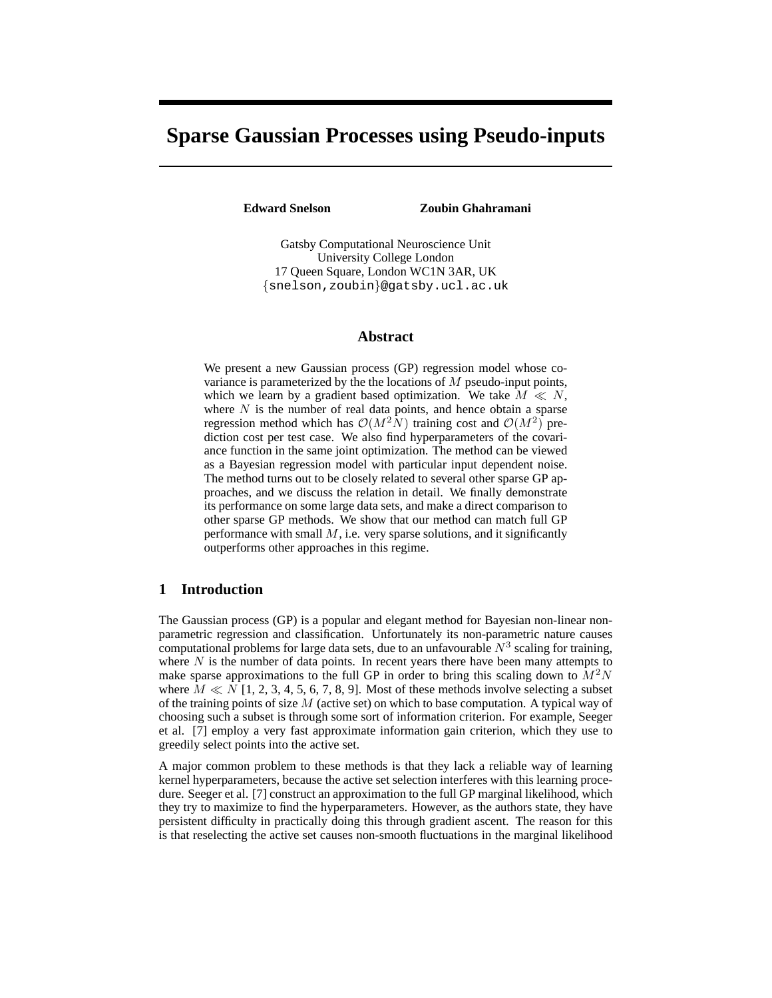# **Sparse Gaussian Processes using Pseudo-inputs**

**Edward Snelson Zoubin Ghahramani**

Gatsby Computational Neuroscience Unit University College London 17 Queen Square, London WC1N 3AR, UK {snelson,zoubin}@gatsby.ucl.ac.uk

## **Abstract**

We present a new Gaussian process (GP) regression model whose covariance is parameterized by the the locations of  $M$  pseudo-input points, which we learn by a gradient based optimization. We take  $M \ll N$ , where  $N$  is the number of real data points, and hence obtain a sparse regression method which has  $\mathcal{O}(M^2N)$  training cost and  $\mathcal{O}(M^2)$  prediction cost per test case. We also find hyperparameters of the covariance function in the same joint optimization. The method can be viewed as a Bayesian regression model with particular input dependent noise. The method turns out to be closely related to several other sparse GP approaches, and we discuss the relation in detail. We finally demonstrate its performance on some large data sets, and make a direct comparison to other sparse GP methods. We show that our method can match full GP performance with small  $M$ , i.e. very sparse solutions, and it significantly outperforms other approaches in this regime.

# **1 Introduction**

The Gaussian process (GP) is a popular and elegant method for Bayesian non-linear nonparametric regression and classification. Unfortunately its non-parametric nature causes computational problems for large data sets, due to an unfavourable  $N^3$  scaling for training, where  $N$  is the number of data points. In recent years there have been many attempts to make sparse approximations to the full GP in order to bring this scaling down to  $M^2N$ where  $M \ll N$  [1, 2, 3, 4, 5, 6, 7, 8, 9]. Most of these methods involve selecting a subset of the training points of size  $M$  (active set) on which to base computation. A typical way of choosing such a subset is through some sort of information criterion. For example, Seeger et al. [7] employ a very fast approximate information gain criterion, which they use to greedily select points into the active set.

A major common problem to these methods is that they lack a reliable way of learning kernel hyperparameters, because the active set selection interferes with this learning procedure. Seeger et al. [7] construct an approximation to the full GP marginal likelihood, which they try to maximize to find the hyperparameters. However, as the authors state, they have persistent difficulty in practically doing this through gradient ascent. The reason for this is that reselecting the active set causes non-smooth fluctuations in the marginal likelihood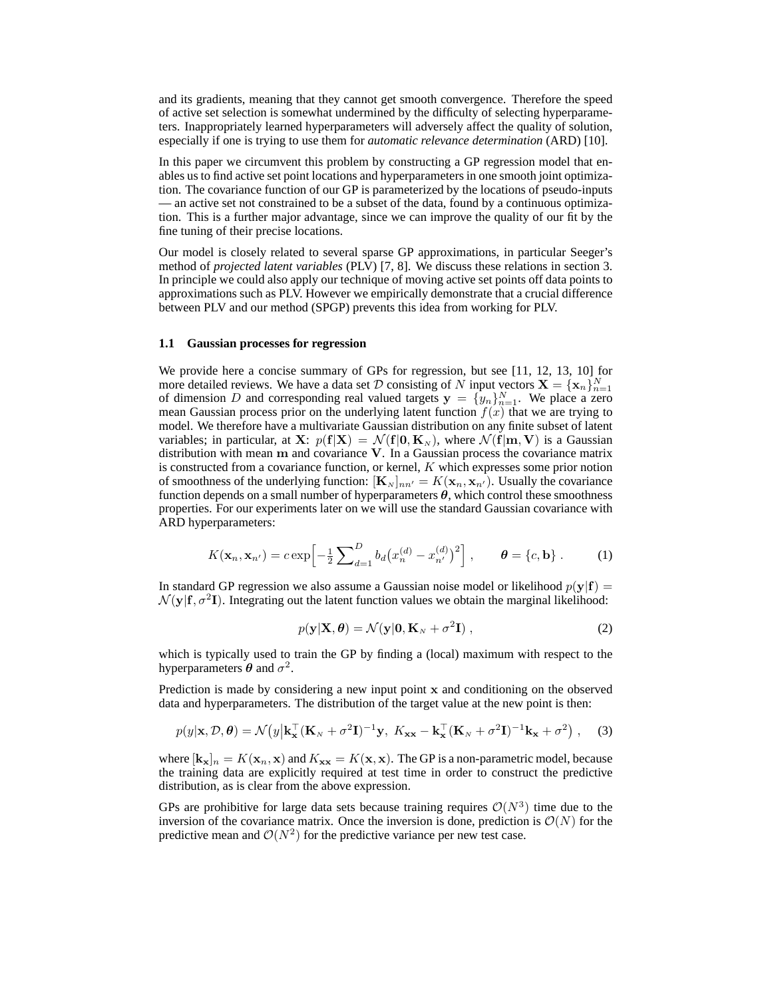and its gradients, meaning that they cannot get smooth convergence. Therefore the speed of active set selection is somewhat undermined by the difficulty of selecting hyperparameters. Inappropriately learned hyperparameters will adversely affect the quality of solution, especially if one is trying to use them for *automatic relevance determination* (ARD) [10].

In this paper we circumvent this problem by constructing a GP regression model that enables us to find active set point locations and hyperparameters in one smooth joint optimization. The covariance function of our GP is parameterized by the locations of pseudo-inputs — an active set not constrained to be a subset of the data, found by a continuous optimization. This is a further major advantage, since we can improve the quality of our fit by the fine tuning of their precise locations.

Our model is closely related to several sparse GP approximations, in particular Seeger's method of *projected latent variables* (PLV) [7, 8]. We discuss these relations in section 3. In principle we could also apply our technique of moving active set points off data points to approximations such as PLV. However we empirically demonstrate that a crucial difference between PLV and our method (SPGP) prevents this idea from working for PLV.

#### **1.1 Gaussian processes for regression**

We provide here a concise summary of GPs for regression, but see [11, 12, 13, 10] for more detailed reviews. We have a data set  $D$  consisting of  $N$  input vectors  $\mathbf{X} = {\mathbf{x}_n}_{n=1}^N$  of dimension  $D$  and corresponding real valued targets  $\mathbf{y} = {y_n}_{n=1}^N$ . We place a zero mean Gaussian process prior on the underlying latent function  $f(x)$  that we are trying to model. We therefore have a multivariate Gaussian distribution on any finite subset of latent variables; in particular, at X:  $p(f|X) = \mathcal{N}(f|0, K_N)$ , where  $\mathcal{N}(f|m, V)$  is a Gaussian distribution with mean m and covariance V. In a Gaussian process the covariance matrix is constructed from a covariance function, or kernel,  $K$  which expresses some prior notion of smoothness of the underlying function:  $\mathbf{K}_{N}$ <sub>nn'</sub> =  $K(\mathbf{x}_n, \mathbf{x}_{n'})$ . Usually the covariance function depends on a small number of hyperparameters  $\theta$ , which control these smoothness properties. For our experiments later on we will use the standard Gaussian covariance with ARD hyperparameters:

$$
K(\mathbf{x}_n, \mathbf{x}_{n'}) = c \exp\left[-\frac{1}{2} \sum_{d=1}^D b_d (x_n^{(d)} - x_{n'}^{(d)})^2\right], \qquad \boldsymbol{\theta} = \{c, \mathbf{b}\}.
$$
 (1)

In standard GP regression we also assume a Gaussian noise model or likelihood  $p(y|f)$  =  $\mathcal{N}(\mathbf{y}|\mathbf{f}, \sigma^2 \mathbf{I})$ . Integrating out the latent function values we obtain the marginal likelihood:

$$
p(\mathbf{y}|\mathbf{X}, \boldsymbol{\theta}) = \mathcal{N}(\mathbf{y}|\mathbf{0}, \mathbf{K}_N + \sigma^2 \mathbf{I}),
$$
\n(2)

which is typically used to train the GP by finding a (local) maximum with respect to the hyperparameters  $\theta$  and  $\sigma^2$ .

Prediction is made by considering a new input point  $x$  and conditioning on the observed data and hyperparameters. The distribution of the target value at the new point is then:

$$
p(y|\mathbf{x}, \mathcal{D}, \boldsymbol{\theta}) = \mathcal{N}(y|\mathbf{k}_{\mathbf{x}}^{\top}(\mathbf{K}_{N} + \sigma^{2}\mathbf{I})^{-1}\mathbf{y}, K_{\mathbf{x}\mathbf{x}} - \mathbf{k}_{\mathbf{x}}^{\top}(\mathbf{K}_{N} + \sigma^{2}\mathbf{I})^{-1}\mathbf{k}_{\mathbf{x}} + \sigma^{2}), \quad (3)
$$

where  $[\mathbf{k_x}]_n = K(\mathbf{x}_n, \mathbf{x})$  and  $K_{\mathbf{xx}} = K(\mathbf{x}, \mathbf{x})$ . The GP is a non-parametric model, because the training data are explicitly required at test time in order to construct the predictive distribution, as is clear from the above expression.

GPs are prohibitive for large data sets because training requires  $\mathcal{O}(N^3)$  time due to the inversion of the covariance matrix. Once the inversion is done, prediction is  $\mathcal{O}(N)$  for the predictive mean and  $\mathcal{O}(N^2)$  for the predictive variance per new test case.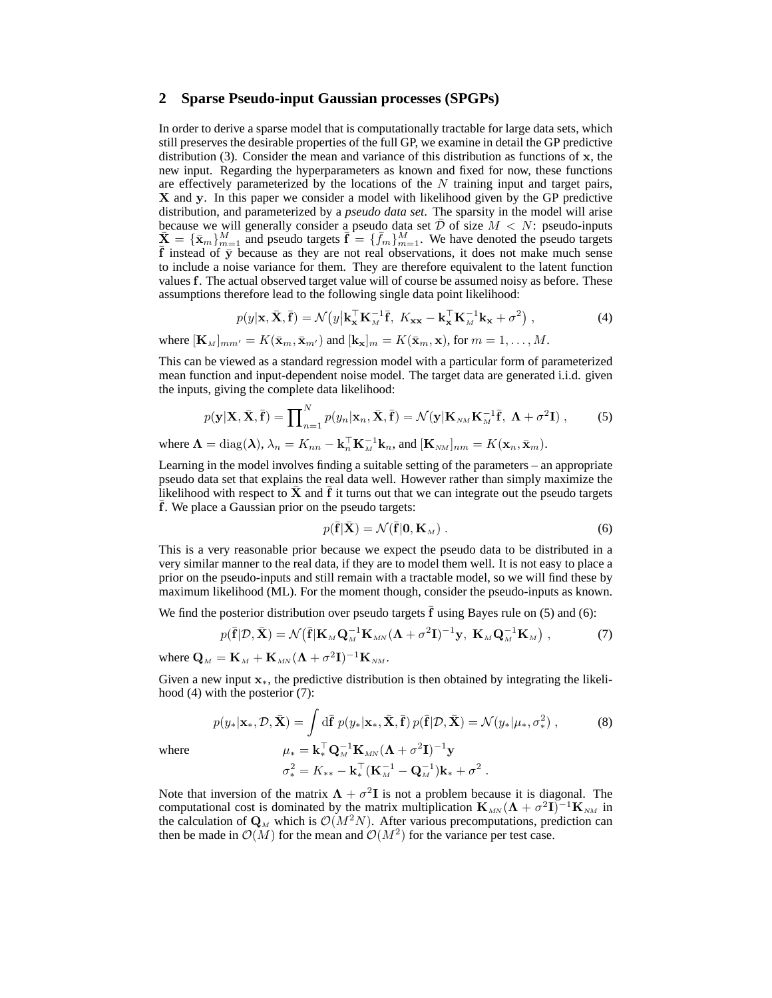## **2 Sparse Pseudo-input Gaussian processes (SPGPs)**

In order to derive a sparse model that is computationally tractable for large data sets, which still preserves the desirable properties of the full GP, we examine in detail the GP predictive distribution (3). Consider the mean and variance of this distribution as functions of  $x$ , the new input. Regarding the hyperparameters as known and fixed for now, these functions are effectively parameterized by the locations of the  $N$  training input and target pairs, X and y. In this paper we consider a model with likelihood given by the GP predictive distribution, and parameterized by a *pseudo data set*. The sparsity in the model will arise because we will generally consider a pseudo data set  $D$  of size  $M < N$ : pseudo-inputs  $\bar{\mathbf{X}} = {\{\bar{\mathbf{x}}_m\}}_{m=1}^M$  and pseudo targets  $\bar{\mathbf{f}} = {\{\bar{f}_m\}}_{m=1}^M$ . We have denoted the pseudo targets  $\bar{f}$  instead of  $\bar{y}$  because as they are not real observations, it does not make much sense to include a noise variance for them. They are therefore equivalent to the latent function values f. The actual observed target value will of course be assumed noisy as before. These assumptions therefore lead to the following single data point likelihood:

$$
p(y|\mathbf{x}, \bar{\mathbf{X}}, \bar{\mathbf{f}}) = \mathcal{N}\big(y\big|\mathbf{k}_{\mathbf{x}}^{\top}\mathbf{K}_{M}^{-1}\bar{\mathbf{f}}, \ K_{\mathbf{x}\mathbf{x}} - \mathbf{k}_{\mathbf{x}}^{\top}\mathbf{K}_{M}^{-1}\mathbf{k}_{\mathbf{x}} + \sigma^{2}\big) , \tag{4}
$$

where  $[\mathbf{K}_M]_{mm'} = K(\bar{\mathbf{x}}_m, \bar{\mathbf{x}}_{m'})$  and  $[\mathbf{k}_{\mathbf{x}}]_m = K(\bar{\mathbf{x}}_m, \mathbf{x})$ , for  $m = 1, \ldots, M$ .

This can be viewed as a standard regression model with a particular form of parameterized mean function and input-dependent noise model. The target data are generated i.i.d. given the inputs, giving the complete data likelihood:

$$
p(\mathbf{y}|\mathbf{X}, \bar{\mathbf{X}}, \bar{\mathbf{f}}) = \prod_{n=1}^{N} p(y_n | \mathbf{x}_n, \bar{\mathbf{X}}, \bar{\mathbf{f}}) = \mathcal{N}(\mathbf{y} | \mathbf{K}_{NM} \mathbf{K}_{M}^{-1} \bar{\mathbf{f}}, \ \mathbf{\Lambda} + \sigma^2 \mathbf{I}), \tag{5}
$$

where  $\mathbf{\Lambda} = \text{diag}(\mathbf{\lambda}), \lambda_n = K_{nn} - \mathbf{k}_n^{\top} \mathbf{K}_M^{-1} \mathbf{k}_n$ , and  $[\mathbf{K}_{NM}]_{nm} = K(\mathbf{x}_n, \bar{\mathbf{x}}_m)$ .

Learning in the model involves finding a suitable setting of the parameters – an appropriate pseudo data set that explains the real data well. However rather than simply maximize the likelihood with respect to  $\bar{\mathbf{X}}$  and  $\bar{\mathbf{f}}$  it turns out that we can integrate out the pseudo targets f. We place a Gaussian prior on the pseudo targets:

$$
p(\bar{\mathbf{f}}|\bar{\mathbf{X}}) = \mathcal{N}(\bar{\mathbf{f}}|\mathbf{0}, \mathbf{K}_M). \tag{6}
$$

This is a very reasonable prior because we expect the pseudo data to be distributed in a very similar manner to the real data, if they are to model them well. It is not easy to place a prior on the pseudo-inputs and still remain with a tractable model, so we will find these by maximum likelihood (ML). For the moment though, consider the pseudo-inputs as known.

We find the posterior distribution over pseudo targets  $f$  using Bayes rule on  $(5)$  and  $(6)$ :

$$
p(\bar{\mathbf{f}}|\mathcal{D},\bar{\mathbf{X}}) = \mathcal{N}(\bar{\mathbf{f}}|\mathbf{K}_{M}\mathbf{Q}_{M}^{-1}\mathbf{K}_{MN}(\mathbf{\Lambda} + \sigma^{2}\mathbf{I})^{-1}\mathbf{y}, \mathbf{K}_{M}\mathbf{Q}_{M}^{-1}\mathbf{K}_{M}), \qquad (7)
$$

where  $\mathbf{Q}_{\scriptscriptstyle{M}} = \mathbf{K}_{\scriptscriptstyle{M}} + \mathbf{K}_{\scriptscriptstyle{M\!N}} (\mathbf{\Lambda} + \sigma^2 \mathbf{I})^{-1} \mathbf{K}_{\scriptscriptstyle{N\!M}}.$ 

Given a new input  $x<sub>*</sub>$ , the predictive distribution is then obtained by integrating the likelihood (4) with the posterior (7):

$$
p(y_*|\mathbf{x}_*, \mathcal{D}, \bar{\mathbf{X}}) = \int \mathrm{d}\bar{\mathbf{f}} \; p(y_*|\mathbf{x}_*, \bar{\mathbf{X}}, \bar{\mathbf{f}}) \, p(\bar{\mathbf{f}}|\mathcal{D}, \bar{\mathbf{X}}) = \mathcal{N}(y_*|\mu_*, \sigma_*^2) \;, \tag{8}
$$

where

$$
\mu_* = \mathbf{k}_*^{\top} \mathbf{Q}_M^{-1} \mathbf{K}_{MN} (\mathbf{\Lambda} + \sigma^2 \mathbf{I})^{-1} \mathbf{y}
$$
  

$$
\sigma_*^2 = K_{**} - \mathbf{k}_*^{\top} (\mathbf{K}_M^{-1} - \mathbf{Q}_M^{-1}) \mathbf{k}_* + \sigma^2.
$$

Note that inversion of the matrix  $\mathbf{\Lambda} + \sigma^2 \mathbf{I}$  is not a problem because it is diagonal. The computational cost is dominated by the matrix multiplication  $\mathbf{K}_{MN}(\mathbf{\Lambda} + \sigma^2 \mathbf{I})^{-1} \mathbf{K}_{NM}$  in the calculation of  ${\bf Q}_M$  which is  $\mathcal{O}(M^2N)$ . After various precomputations, prediction can then be made in  $\mathcal{O}(M)$  for the mean and  $\mathcal{O}(M^2)$  for the variance per test case.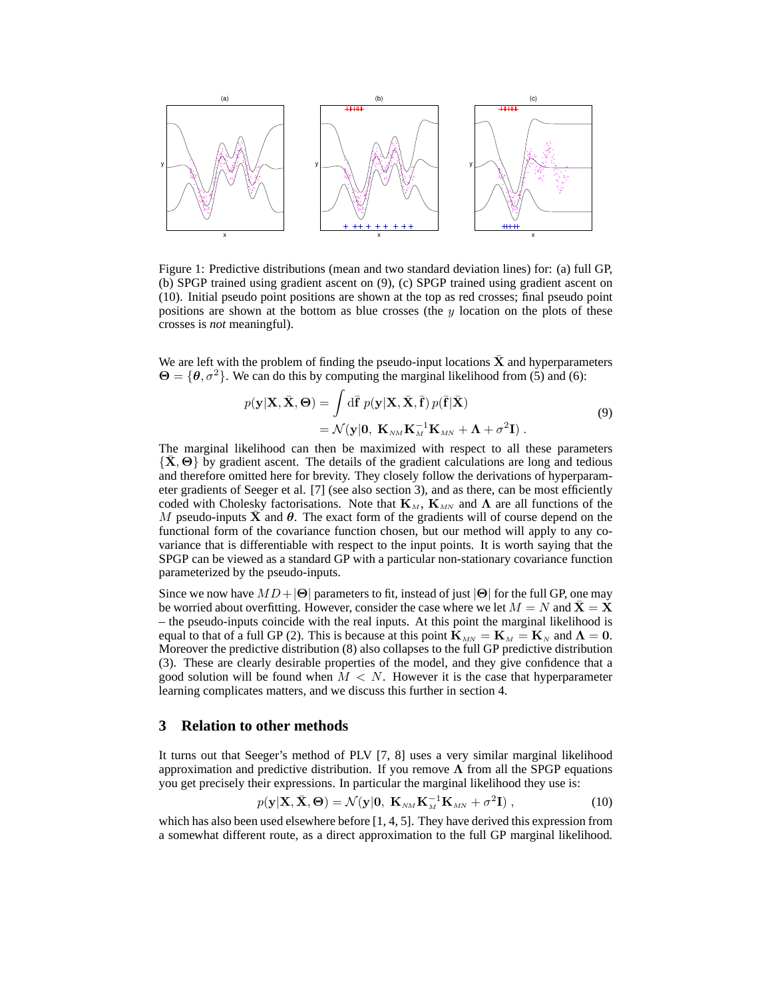

Figure 1: Predictive distributions (mean and two standard deviation lines) for: (a) full GP, (b) SPGP trained using gradient ascent on (9), (c) SPGP trained using gradient ascent on (10). Initial pseudo point positions are shown at the top as red crosses; final pseudo point positions are shown at the bottom as blue crosses (the y location on the plots of these crosses is *not* meaningful).

We are left with the problem of finding the pseudo-input locations  $\bar{X}$  and hyperparameters  $\Theta = \{\theta, \sigma^2\}$ . We can do this by computing the marginal likelihood from (5) and (6):

$$
p(\mathbf{y}|\mathbf{X}, \bar{\mathbf{X}}, \Theta) = \int d\bar{\mathbf{f}} \ p(\mathbf{y}|\mathbf{X}, \bar{\mathbf{X}}, \bar{\mathbf{f}}) \ p(\bar{\mathbf{f}}|\bar{\mathbf{X}})
$$
  
=  $\mathcal{N}(\mathbf{y}|\mathbf{0}, \ \mathbf{K}_{NM} \mathbf{K}_{M}^{-1} \mathbf{K}_{MN} + \mathbf{\Lambda} + \sigma^{2} \mathbf{I}).$  (9)

The marginal likelihood can then be maximized with respect to all these parameters  $\{X, \Theta\}$  by gradient ascent. The details of the gradient calculations are long and tedious and therefore omitted here for brevity. They closely follow the derivations of hyperparameter gradients of Seeger et al. [7] (see also section 3), and as there, can be most efficiently coded with Cholesky factorisations. Note that  $\mathbf{K}_{M}$ ,  $\mathbf{K}_{MN}$  and  $\Lambda$  are all functions of the M pseudo-inputs  $\bar{\mathbf{X}}$  and  $\theta$ . The exact form of the gradients will of course depend on the functional form of the covariance function chosen, but our method will apply to any covariance that is differentiable with respect to the input points. It is worth saying that the SPGP can be viewed as a standard GP with a particular non-stationary covariance function parameterized by the pseudo-inputs.

Since we now have  $MD+|\Theta|$  parameters to fit, instead of just  $|\Theta|$  for the full GP, one may be worried about overfitting. However, consider the case where we let  $M = N$  and  $X = X$ – the pseudo-inputs coincide with the real inputs. At this point the marginal likelihood is equal to that of a full GP (2). This is because at this point  $\mathbf{K}_{MN} = \mathbf{K}_{M} = \mathbf{K}_{N}$  and  $\mathbf{\Lambda} = \mathbf{0}$ . Moreover the predictive distribution (8) also collapses to the full GP predictive distribution (3). These are clearly desirable properties of the model, and they give confidence that a good solution will be found when  $M < N$ . However it is the case that hyperparameter learning complicates matters, and we discuss this further in section 4.

## **3 Relation to other methods**

It turns out that Seeger's method of PLV [7, 8] uses a very similar marginal likelihood approximation and predictive distribution. If you remove  $\Lambda$  from all the SPGP equations you get precisely their expressions. In particular the marginal likelihood they use is:

$$
p(\mathbf{y}|\mathbf{X}, \bar{\mathbf{X}}, \Theta) = \mathcal{N}(\mathbf{y}|\mathbf{0}, \ \mathbf{K}_{NM} \mathbf{K}_M^{-1} \mathbf{K}_{MN} + \sigma^2 \mathbf{I}), \qquad (10)
$$

which has also been used elsewhere before [1, 4, 5]. They have derived this expression from a somewhat different route, as a direct approximation to the full GP marginal likelihood.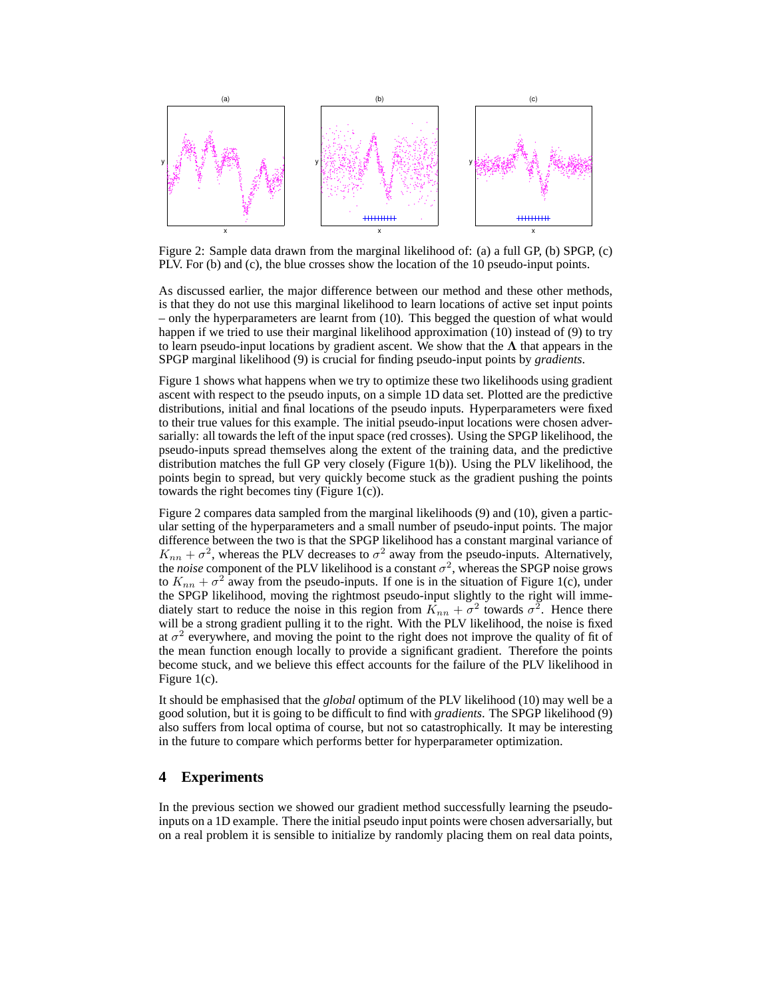

Figure 2: Sample data drawn from the marginal likelihood of: (a) a full GP, (b) SPGP, (c) PLV. For (b) and (c), the blue crosses show the location of the 10 pseudo-input points.

As discussed earlier, the major difference between our method and these other methods, is that they do not use this marginal likelihood to learn locations of active set input points – only the hyperparameters are learnt from (10). This begged the question of what would happen if we tried to use their marginal likelihood approximation (10) instead of (9) to try to learn pseudo-input locations by gradient ascent. We show that the  $\Lambda$  that appears in the SPGP marginal likelihood (9) is crucial for finding pseudo-input points by *gradients*.

Figure 1 shows what happens when we try to optimize these two likelihoods using gradient ascent with respect to the pseudo inputs, on a simple 1D data set. Plotted are the predictive distributions, initial and final locations of the pseudo inputs. Hyperparameters were fixed to their true values for this example. The initial pseudo-input locations were chosen adversarially: all towards the left of the input space (red crosses). Using the SPGP likelihood, the pseudo-inputs spread themselves along the extent of the training data, and the predictive distribution matches the full GP very closely (Figure 1(b)). Using the PLV likelihood, the points begin to spread, but very quickly become stuck as the gradient pushing the points towards the right becomes tiny (Figure 1(c)).

Figure 2 compares data sampled from the marginal likelihoods (9) and (10), given a particular setting of the hyperparameters and a small number of pseudo-input points. The major difference between the two is that the SPGP likelihood has a constant marginal variance of  $K_{nn} + \sigma^2$ , whereas the PLV decreases to  $\sigma^2$  away from the pseudo-inputs. Alternatively, the *noise* component of the PLV likelihood is a constant  $\sigma^2$ , whereas the SPGP noise grows to  $K_{nn} + \sigma^2$  away from the pseudo-inputs. If one is in the situation of Figure 1(c), under the SPGP likelihood, moving the rightmost pseudo-input slightly to the right will immediately start to reduce the noise in this region from  $K_{nn} + \sigma^2$  towards  $\sigma^2$ . Hence there will be a strong gradient pulling it to the right. With the PLV likelihood, the noise is fixed at  $\sigma^2$  everywhere, and moving the point to the right does not improve the quality of fit of the mean function enough locally to provide a significant gradient. Therefore the points become stuck, and we believe this effect accounts for the failure of the PLV likelihood in Figure 1(c).

It should be emphasised that the *global* optimum of the PLV likelihood (10) may well be a good solution, but it is going to be difficult to find with *gradients*. The SPGP likelihood (9) also suffers from local optima of course, but not so catastrophically. It may be interesting in the future to compare which performs better for hyperparameter optimization.

# **4 Experiments**

In the previous section we showed our gradient method successfully learning the pseudoinputs on a 1D example. There the initial pseudo input points were chosen adversarially, but on a real problem it is sensible to initialize by randomly placing them on real data points,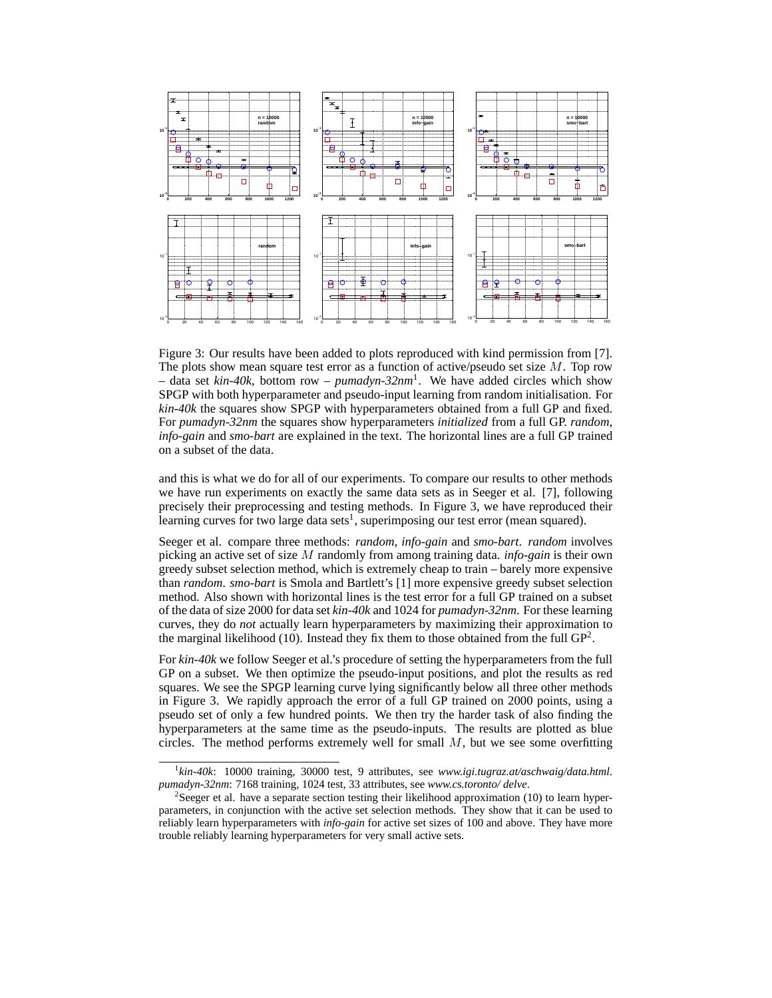

Figure 3: Our results have been added to plots reproduced with kind permission from [7]. The plots show mean square test error as a function of active/pseudo set size  $M$ . Top row – data set *kin-40k*, bottom row – *pumadyn-32nm*<sup>1</sup> . We have added circles which show SPGP with both hyperparameter and pseudo-input learning from random initialisation. For *kin-40k* the squares show SPGP with hyperparameters obtained from a full GP and fixed. For *pumadyn-32nm* the squares show hyperparameters *initialized* from a full GP. *random*, *info-gain* and *smo-bart* are explained in the text. The horizontal lines are a full GP trained on a subset of the data.

and this is what we do for all of our experiments. To compare our results to other methods we have run experiments on exactly the same data sets as in Seeger et al. [7], following precisely their preprocessing and testing methods. In Figure 3, we have reproduced their learning curves for two large data sets<sup>1</sup>, superimposing our test error (mean squared).

Seeger et al. compare three methods: *random*, *info-gain* and *smo-bart*. *random* involves picking an active set of size M randomly from among training data. *info-gain* is their own greedy subset selection method, which is extremely cheap to train – barely more expensive than *random*. *smo-bart* is Smola and Bartlett's [1] more expensive greedy subset selection method. Also shown with horizontal lines is the test error for a full GP trained on a subset of the data of size 2000 for data set *kin-40k* and 1024 for *pumadyn-32nm*. For these learning curves, they do *not* actually learn hyperparameters by maximizing their approximation to the marginal likelihood (10). Instead they fix them to those obtained from the full  $GP^2$ .

For *kin-40k* we follow Seeger et al.'s procedure of setting the hyperparameters from the full GP on a subset. We then optimize the pseudo-input positions, and plot the results as red squares. We see the SPGP learning curve lying significantly below all three other methods in Figure 3. We rapidly approach the error of a full GP trained on 2000 points, using a pseudo set of only a few hundred points. We then try the harder task of also finding the hyperparameters at the same time as the pseudo-inputs. The results are plotted as blue circles. The method performs extremely well for small  $M$ , but we see some overfitting

<sup>1</sup> *kin-40k*: 10000 training, 30000 test, 9 attributes, see *www.igi.tugraz.at/aschwaig/data.html*. *pumadyn-32nm*: 7168 training, 1024 test, 33 attributes, see *www.cs.toronto/ delve*.

<sup>&</sup>lt;sup>2</sup>Seeger et al. have a separate section testing their likelihood approximation (10) to learn hyperparameters, in conjunction with the active set selection methods. They show that it can be used to reliably learn hyperparameters with *info-gain* for active set sizes of 100 and above. They have more trouble reliably learning hyperparameters for very small active sets.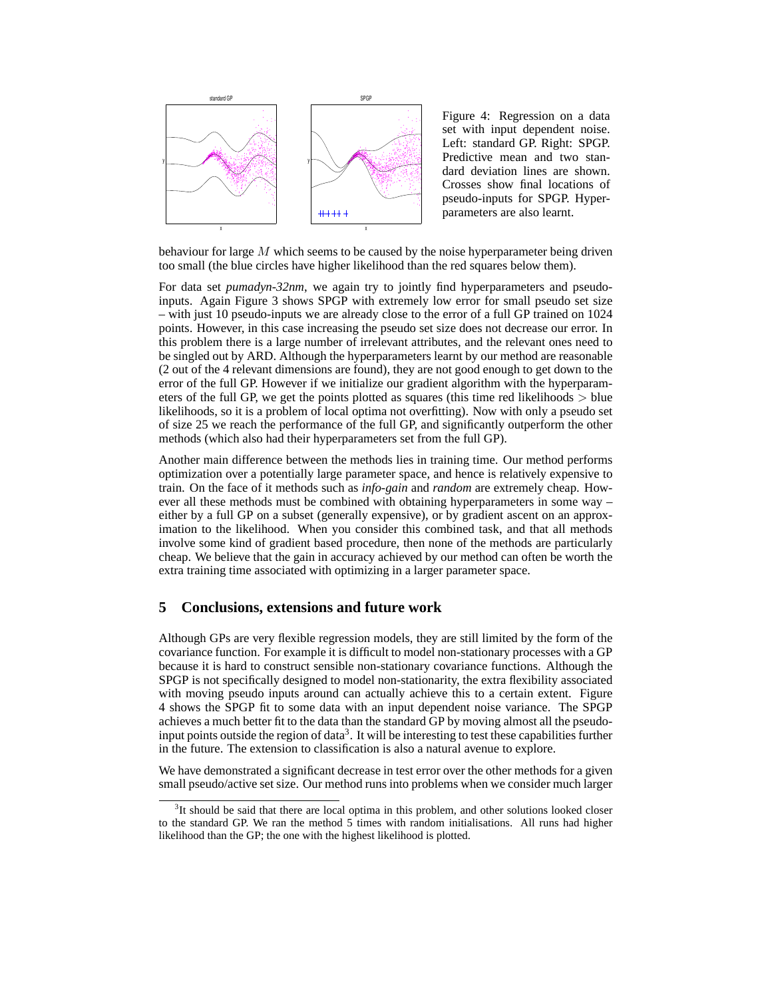

Figure 4: Regression on a data set with input dependent noise. Left: standard GP. Right: SPGP. Predictive mean and two standard deviation lines are shown. Crosses show final locations of pseudo-inputs for SPGP. Hyperparameters are also learnt.

behaviour for large  $M$  which seems to be caused by the noise hyperparameter being driven too small (the blue circles have higher likelihood than the red squares below them).

For data set *pumadyn-32nm*, we again try to jointly find hyperparameters and pseudoinputs. Again Figure 3 shows SPGP with extremely low error for small pseudo set size – with just 10 pseudo-inputs we are already close to the error of a full GP trained on 1024 points. However, in this case increasing the pseudo set size does not decrease our error. In this problem there is a large number of irrelevant attributes, and the relevant ones need to be singled out by ARD. Although the hyperparameters learnt by our method are reasonable (2 out of the 4 relevant dimensions are found), they are not good enough to get down to the error of the full GP. However if we initialize our gradient algorithm with the hyperparameters of the full GP, we get the points plotted as squares (this time red likelihoods  $>$  blue likelihoods, so it is a problem of local optima not overfitting). Now with only a pseudo set of size 25 we reach the performance of the full GP, and significantly outperform the other methods (which also had their hyperparameters set from the full GP).

Another main difference between the methods lies in training time. Our method performs optimization over a potentially large parameter space, and hence is relatively expensive to train. On the face of it methods such as *info-gain* and *random* are extremely cheap. However all these methods must be combined with obtaining hyperparameters in some way – either by a full GP on a subset (generally expensive), or by gradient ascent on an approximation to the likelihood. When you consider this combined task, and that all methods involve some kind of gradient based procedure, then none of the methods are particularly cheap. We believe that the gain in accuracy achieved by our method can often be worth the extra training time associated with optimizing in a larger parameter space.

## **5 Conclusions, extensions and future work**

Although GPs are very flexible regression models, they are still limited by the form of the covariance function. For example it is difficult to model non-stationary processes with a GP because it is hard to construct sensible non-stationary covariance functions. Although the SPGP is not specifically designed to model non-stationarity, the extra flexibility associated with moving pseudo inputs around can actually achieve this to a certain extent. Figure 4 shows the SPGP fit to some data with an input dependent noise variance. The SPGP achieves a much better fit to the data than the standard GP by moving almost all the pseudoinput points outside the region of data<sup>3</sup>. It will be interesting to test these capabilities further in the future. The extension to classification is also a natural avenue to explore.

We have demonstrated a significant decrease in test error over the other methods for a given small pseudo/active set size. Our method runs into problems when we consider much larger

 $3$ It should be said that there are local optima in this problem, and other solutions looked closer to the standard GP. We ran the method 5 times with random initialisations. All runs had higher likelihood than the GP; the one with the highest likelihood is plotted.